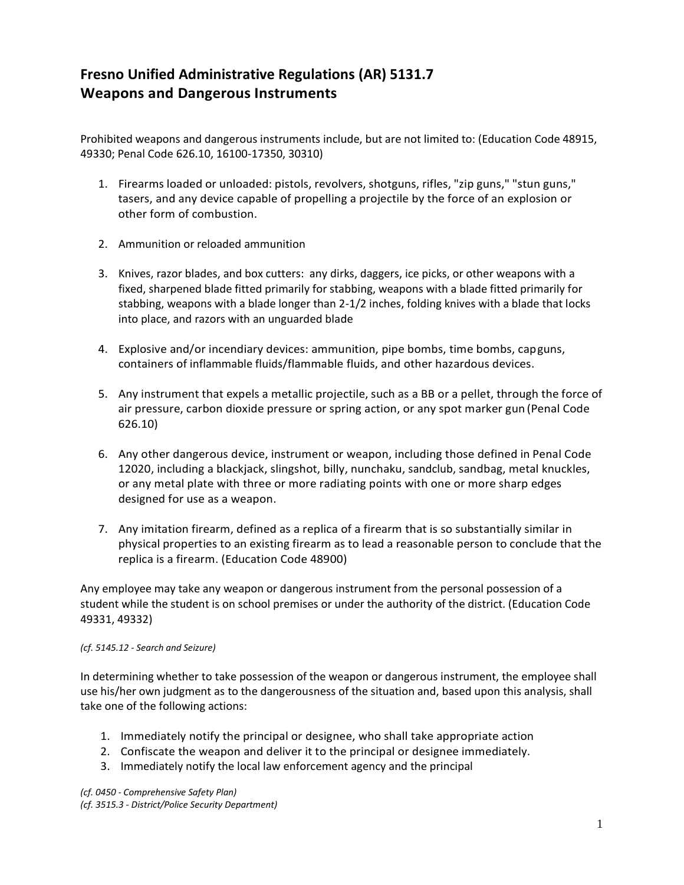## **Fresno Unified Administrative Regulations (AR) 5131.7 Weapons and Dangerous Instruments**

Prohibited weapons and dangerous instruments include, but are not limited to: (Education Code 48915, 49330; Penal Code 626.10, 16100-17350, 30310)

- 1. Firearms loaded or unloaded: pistols, revolvers, shotguns, rifles, "zip guns," "stun guns," tasers, and any device capable of propelling a projectile by the force of an explosion or other form of combustion.
- 2. Ammunition or reloaded ammunition
- 3. Knives, razor blades, and box cutters: any dirks, daggers, ice picks, or other weapons with a fixed, sharpened blade fitted primarily for stabbing, weapons with a blade fitted primarily for stabbing, weapons with a blade longer than 2-1/2 inches, folding knives with a blade that locks into place, and razors with an unguarded blade
- 4. Explosive and/or incendiary devices: ammunition, pipe bombs, time bombs, capguns, containers of inflammable fluids/flammable fluids, and other hazardous devices.
- 5. Any instrument that expels a metallic projectile, such as a BB or a pellet, through the force of air pressure, carbon dioxide pressure or spring action, or any spot marker gun (Penal Code 626.10)
- 6. Any other dangerous device, instrument or weapon, including those defined in Penal Code 12020, including a blackjack, slingshot, billy, nunchaku, sandclub, sandbag, metal knuckles, or any metal plate with three or more radiating points with one or more sharp edges designed for use as a weapon.
- 7. Any imitation firearm, defined as a replica of a firearm that is so substantially similar in physical properties to an existing firearm as to lead a reasonable person to conclude that the replica is a firearm. (Education Code 48900)

Any employee may take any weapon or dangerous instrument from the personal possession of a student while the student is on school premises or under the authority of the district. (Education Code 49331, 49332)

## *(cf. 5145.12 - Search and Seizure)*

In determining whether to take possession of the weapon or dangerous instrument, the employee shall use his/her own judgment as to the dangerousness of the situation and, based upon this analysis, shall take one of the following actions:

- 1. Immediately notify the principal or designee, who shall take appropriate action
- 2. Confiscate the weapon and deliver it to the principal or designee immediately.
- 3. Immediately notify the local law enforcement agency and the principal